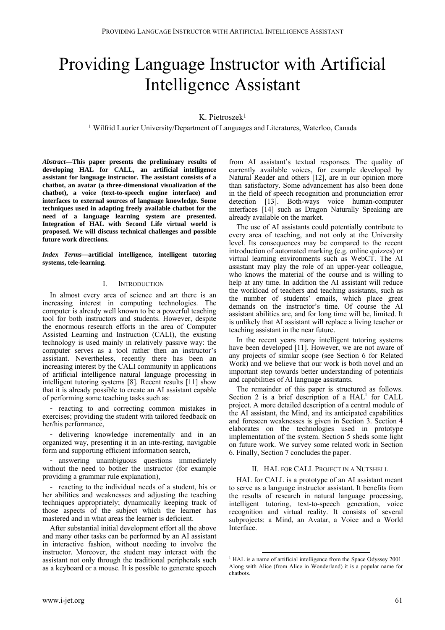# Providing Language Instructor with Artificial Intelligence Assistant

# K. Pietroszek<sup>1</sup>

1 Wilfrid Laurier University/Department of Languages and Literatures, Waterloo, Canada

*Abstract***—This paper presents the preliminary results of developing HAL for CALL, an artificial intelligence assistant for language instructor. The assistant consists of a chatbot, an avatar (a three-dimensional visualization of the chatbot), a voice (text-to-speech engine interface) and interfaces to external sources of language knowledge. Some techniques used in adapting freely available chatbot for the need of a language learning system are presented. Integration of HAL with Second Life virtual world is proposed. We will discuss technical challenges and possible future work directions.** 

*Index Terms***—artificial intelligence, intelligent tutoring systems, tele-learning.**

# I. INTRODUCTION

In almost every area of science and art there is an increasing interest in computing technologies. The computer is already well known to be a powerful teaching tool for both instructors and students. However, despite the enormous research efforts in the area of Computer Assisted Learning and Instruction (CALI), the existing technology is used mainly in relatively passive way: the computer serves as a tool rather then an instructor's assistant. Nevertheless, recently there has been an increasing interest by the CALI community in applications of artificial intelligence natural language processing in intelligent tutoring systems [8]. Recent results [11] show that it is already possible to create an AI assistant capable of performing some teaching tasks such as:

- reacting to and correcting common mistakes in exercises; providing the student with tailored feedback on her/his performance,

- delivering knowledge incrementally and in an organized way, presenting it in an inte-resting, navigable form and supporting efficient information search,

- answering unambiguous questions immediately without the need to bother the instructor (for example providing a grammar rule explanation),

reacting to the individual needs of a student, his or her abilities and weaknesses and adjusting the teaching techniques appropriately; dynamically keeping track of those aspects of the subject which the learner has mastered and in what areas the learner is deficient.

After substantial initial development effort all the above and many other tasks can be performed by an AI assistant in interactive fashion, without needing to involve the instructor. Moreover, the student may interact with the assistant not only through the traditional peripherals such as a keyboard or a mouse. It is possible to generate speech

from AI assistant's textual responses. The quality of currently available voices, for example developed by Natural Reader and others [12], are in our opinion more than satisfactory. Some advancement has also been done in the field of speech recognition and pronunciation error detection [13]. Both-ways voice human-computer interfaces [14] such as Dragon Naturally Speaking are already available on the market.

The use of AI assistants could potentially contribute to every area of teaching, and not only at the University level. Its consequences may be compared to the recent introduction of automated marking (e.g. online quizzes) or virtual learning environments such as WebCT. The AI assistant may play the role of an upper-year colleague, who knows the material of the course and is willing to help at any time. In addition the AI assistant will reduce the workload of teachers and teaching assistants, such as the number of students' emails, which place great demands on the instructor's time. Of course the AI assistant abilities are, and for long time will be, limited. It is unlikely that AI assistant will replace a living teacher or teaching assistant in the near future.

In the recent years many intelligent tutoring systems have been developed [11]. However, we are not aware of any projects of similar scope (see Section 6 for Related Work) and we believe that our work is both novel and an important step towards better understanding of potentials and capabilities of AI language assistants.

The remainder of this paper is structured as follows. Section 2 is a brief description of a  $HAL<sup>1</sup>$  for CALL project. A more detailed description of a central module of the AI assistant, the Mind, and its anticipated capabilities and foreseen weaknesses is given in Section 3. Section 4 elaborates on the technologies used in prototype implementation of the system. Section 5 sheds some light on future work. We survey some related work in Section 6. Finally, Section 7 concludes the paper.

# II. HAL FOR CALL PROJECT IN A NUTSHELL

HAL for CALL is a prototype of an AI assistant meant to serve as a language instructor assistant. It benefits from the results of research in natural language processing, intelligent tutoring, text-to-speech generation, voice recognition and virtual reality. It consists of several subprojects: a Mind, an Avatar, a Voice and a World Interface.

<span id="page-0-0"></span><sup>&</sup>lt;sup>1</sup> HAL is a name of artificial intelligence from the Space Odyssey 2001. Along with Alice (from Alice in Wonderland) it is a popular name for chatbots.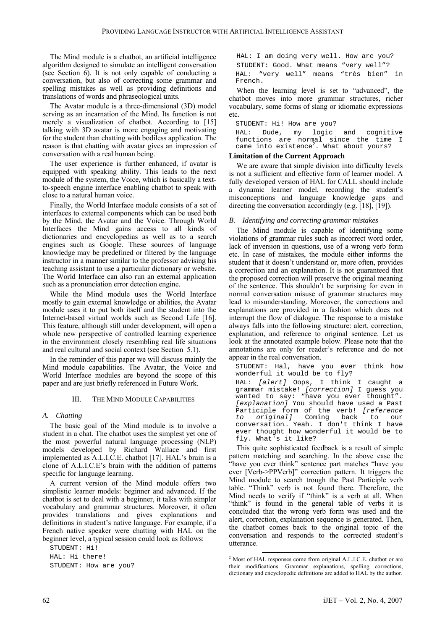The Mind module is a chatbot, an artificial intelligence algorithm designed to simulate an intelligent conversation (see Section 6). It is not only capable of conducting a conversation, but also of correcting some grammar and spelling mistakes as well as providing definitions and translations of words and phraseological units.

The Avatar module is a three-dimensional (3D) model serving as an incarnation of the Mind. Its function is not merely a visualization of chatbot. According to [15] talking with 3D avatar is more engaging and motivating for the student than chatting with bodiless application. The reason is that chatting with avatar gives an impression of conversation with a real human being.

The user experience is further enhanced, if avatar is equipped with speaking ability. This leads to the next module of the system, the Voice, which is basically a textto-speech engine interface enabling chatbot to speak with close to a natural human voice.

Finally, the World Interface module consists of a set of interfaces to external components which can be used both by the Mind, the Avatar and the Voice. Through World Interfaces the Mind gains access to all kinds of dictionaries and encyclopedias as well as to a search engines such as Google. These sources of language knowledge may be predefined or filtered by the language instructor in a manner similar to the professor advising his teaching assistant to use a particular dictionary or website. The World Interface can also run an external application such as a pronunciation error detection engine.

While the Mind module uses the World Interface mostly to gain external knowledge or abilities, the Avatar module uses it to put both itself and the student into the Internet-based virtual worlds such as Second Life [16]. This feature, although still under development, will open a whole new perspective of controlled learning experience in the environment closely resembling real life situations and real cultural and social context (see Section 5.1).

In the reminder of this paper we will discuss mainly the Mind module capabilities. The Avatar, the Voice and World Interface modules are beyond the scope of this paper and are just briefly referenced in Future Work.

# III. THE MIND MODULE CAPABILITIES

# *A. Chatting*

The basic goal of the Mind module is to involve a student in a chat. The chatbot uses the simplest yet one of the most powerful natural language processing (NLP) models developed by Richard Wallace and first implemented as A.L.I.C.E. chatbot [17]. HAL's brain is a clone of A.L.I.C.E's brain with the addition of patterns specific for language learning.

A current version of the Mind module offers two simplistic learner models: beginner and advanced. If the chatbot is set to deal with a beginner, it talks with simpler vocabulary and grammar structures. Moreover, it often provides translations and gives explanations and definitions in student's native language. For example, if a French native speaker were chatting with HAL on the beginner level, a typical session could look as follows:

STUDENT: Hi! HAL: Hi there! STUDENT: How are you?

HAL: I am doing very well. How are you? STUDENT: Good. What means "very well"? HAL: "very well" means "très bien" in French.

When the learning level is set to "advanced", the chatbot moves into more grammar structures, richer vocabulary, some forms of slang or idiomatic expressions etc.

STUDENT: Hi! How are you? HAL: Dude, my logic and cognitive functions are normal since the time I came into existence $^2$ [.](#page-1-0) What about yours?

## **Limitation of the Current Approach**

We are aware that simple division into difficulty levels is not a sufficient and effective form of learner model. A fully developed version of HAL for CALL should include a dynamic learner model, recording the student's misconceptions and language knowledge gaps and directing the conversation accordingly (e.g. [18], [19]).

## *B. Identifying and correcting grammar mistakes*

The Mind module is capable of identifying some violations of grammar rules such as incorrect word order, lack of inversion in questions, use of a wrong verb form etc. In case of mistakes, the module either informs the student that it doesn't understand or, more often, provides a correction and an explanation. It is not guaranteed that the proposed correction will preserve the original meaning of the sentence. This shouldn't be surprising for even in normal conversation misuse of grammar structures may lead to misunderstanding. Moreover, the corrections and explanations are provided in a fashion which does not interrupt the flow of dialogue. The response to a mistake always falls into the following structure: alert, correction, explanation, and reference to original sentence. Let us look at the annotated example below. Please note that the annotations are only for reader's reference and do not appear in the real conversation.

STUDENT: Hal, have you ever think how wonderful it would be to fly?

HAL: *[alert]* Oops, I think I caught a grammar mistake! *[correction]* I guess you wanted to say: "have you ever thought". *[explanation]* You should have used a Past Participle form of the verb! *[reference to original]* Coming back to our conversation… Yeah. I don't think I have ever thought how wonderful it would be to fly. What's it like?

This quite sophisticated feedback is a result of simple pattern matching and searching. In the above case the "have you ever think" sentence part matches "have you ever [Verb->PPVerb]" correction pattern. It triggers the Mind module to search trough the Past Participle verb table. "Think" verb is not found there. Therefore, the Mind needs to verify if "think" is a verb at all. When "think" is found in the general table of verbs it is concluded that the wrong verb form was used and the alert, correction, explanation sequence is generated. Then, the chatbot comes back to the original topic of the conversation and responds to the corrected student's utterance.

<span id="page-1-0"></span><sup>-</sup><sup>2</sup> Most of HAL responses come from original A.L.I.C.E. chatbot or are their modifications. Grammar explanations, spelling corrections, dictionary and encyclopedic definitions are added to HAL by the author.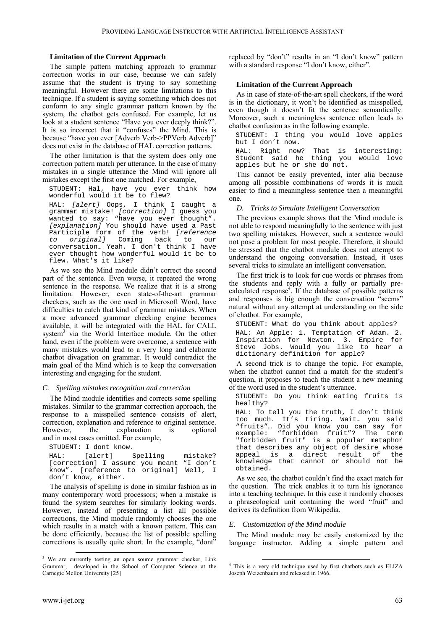# **Limitation of the Current Approach**

The simple pattern matching approach to grammar correction works in our case, because we can safely assume that the student is trying to say something meaningful. However there are some limitations to this technique. If a student is saying something which does not conform to any single grammar pattern known by the system, the chatbot gets confused. For example, let us look at a student sentence "Have you ever deeply think?". It is so incorrect that it "confuses" the Mind. This is because "have you ever [Adverb Verb->PPVerb Adverb]" does not exist in the database of HAL correction patterns.

The other limitation is that the system does only one correction pattern match per utterance. In the case of many mistakes in a single utterance the Mind will ignore all mistakes except the first one matched. For example,

STUDENT: Hal, have you ever think how wonderful would it be to flew?

HAL: *[alert]* Oops, I think I caught a grammar mistake! *[correction]* I guess you wanted to say: "have you ever thought". *[explanation]* You should have used a Past Participle form of the verb! *[reference to original]* Coming back to our conversation… Yeah. I don't think I have ever thought how wonderful would it be to flew. What's it like?

As we see the Mind module didn't correct the second part of the sentence. Even worse, it repeated the wrong sentence in the response. We realize that it is a strong limitation. However, even state-of-the-art grammar checkers, such as the one used in Microsoft Word, have difficulties to catch that kind of grammar mistakes. When a more advanced grammar checking engine becomes available, it will be integrated with the HAL for CALL system<sup>3</sup>via the World Interface module. On the other hand, even if the problem were overcome, a sentence with many mistakes would lead to a very long and elaborate chatbot divagation on grammar. It would contradict the main goal of the Mind which is to keep the conversation interesting and engaging for the student.

# *C. Spelling mistakes recognition and correction*

The Mind module identifies and corrects some spelling mistakes. Similar to the grammar correction approach, the response to a misspelled sentence consists of alert, correction, explanation and reference to original sentence. However, the explanation is optional and in most cases omitted. For example,

```
STUDENT: I dont know. 
HAL: [alert] Spelling mistake?
[correction] I assume you meant "I don't
know". [reference to original] Well, I 
don't know, either.
```
The analysis of spelling is done in similar fashion as in many contemporary word processors; when a mistake is found the system searches for similarly looking words. However, instead of presenting a list all possible corrections, the Mind module randomly chooses the one which results in a match with a known pattern. This can be done efficiently, because the list of possible spelling corrections is usually quite short. In the example, "dont"

replaced by "don't" results in an "I don't know" pattern with a standard response "I don't know, either".

# **Limitation of the Current Approach**

As in case of state-of-the-art spell checkers, if the word is in the dictionary, it won't be identified as misspelled, even though it doesn't fit the sentence semantically. Moreover, such a meaningless sentence often leads to chatbot confusion as in the following example.

STUDENT: I thing you would love apples but I don't now.

HAL: Right now? That is interesting: Student said he thing you would love apples but he or she do not.

This cannot be easily prevented, inter alia because among all possible combinations of words it is much easier to find a meaningless sentence then a meaningful one.

# *D. Tricks to Simulate Intelligent Conversation*

The previous example shows that the Mind module is not able to respond meaningfully to the sentence with just two spelling mistakes. However, such a sentence would not pose a problem for most people. Therefore, it should be stressed that the chatbot module does not attempt to understand the ongoing conversation. Instead, it uses several tricks to simulate an intelligent conversation.

The first trick is to look for cue words or phrases from the students and reply with a fully or partially precalculated response 4 [.](#page-2-1) If the database of possible patterns and responses is big enough the conversation "seems" natural without any attempt at understanding on the side of chatbot. For example,

STUDENT: What do you think about apples?

HAL: An Apple: 1. Temptation of Adam. 2. Inspiration for Newton. 3. Empire for Steve Jobs. Would you like to hear a dictionary definition for apple?

A second trick is to change the topic. For example, when the chatbot cannot find a match for the student's question, it proposes to teach the student a new meaning of the word used in the student's utterance.

STUDENT: Do you think eating fruits is healthy?

HAL: To tell you the truth, I don't think too much. It's tiring. Wait… you said "fruits"… Did you know you can say for example: "forbidden fruit"? The term "forbidden fruit" is a popular metaphor that describes any object of desire whose appeal is a direct result of the knowledge that cannot or should not be obtained.

As we see, the chatbot couldn't find the exact match for the question. The trick enables it to turn his ignorance into a teaching technique. In this case it randomly chooses a phraseological unit containing the word "fruit" and derives its definition from Wikipedia.

# *E. Customization of the Mind module*

The Mind module may be easily customized by the language instructor. Adding a simple pattern and

 $\overline{a}$ 

<span id="page-2-0"></span><sup>&</sup>lt;sup>3</sup> We are currently testing an open source grammar checker, Link -Grammar, developed in the School of Computer Science at the Carnegie Mellon University [25]

<span id="page-2-1"></span><sup>4</sup> This is a very old technique used by first chatbots such as ELIZA Joseph Weizenbaum and released in 1966.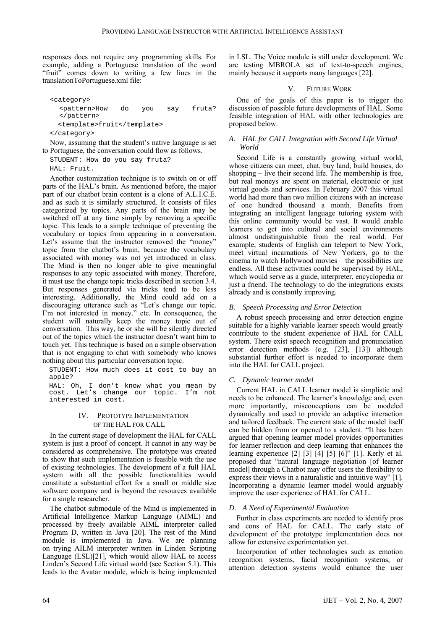responses does not require any programming skills. For example, adding a Portuguese translation of the word "fruit" comes down to writing a few lines in the translationToPortuguese.xml file:

<category> <pattern>How do you say fruta? </pattern> <template>fruit</template> </category>

Now, assuming that the student's native language is set to Portuguese, the conversation could flow as follows.

STUDENT: How do you say fruta? HAL: Fruit.

Another customization technique is to switch on or off parts of the HAL's brain. As mentioned before, the major part of our chatbot brain content is a clone of A.L.I.C.E. and as such it is similarly structured. It consists of files categorized by topics. Any parts of the brain may be switched off at any time simply by removing a specific topic. This leads to a simple technique of preventing the vocabulary or topics from appearing in a conversation. Let's assume that the instructor removed the "money" topic from the chatbot's brain, because the vocabulary associated with money was not yet introduced in class. The Mind is then no longer able to give meaningful responses to any topic associated with money. Therefore, it must use the change topic tricks described in section 3.4. But responses generated via tricks tend to be less interesting. Additionally, the Mind could add on a discouraging utterance such as "Let's change our topic. I'm not interested in money." etc. In consequence, the student will naturally keep the money topic out of conversation. This way, he or she will be silently directed out of the topics which the instructor doesn't want him to touch yet. This technique is based on a simple observation that is not engaging to chat with somebody who knows nothing about this particular conversation topic.

STUDENT: How much does it cost to buy an apple?

HAL: Oh, I don't know what you mean by cost. Let's change our topic. I'm not interested in cost.

# IV. PROTOTYPE IMPLEMENTATION OF THE HAL FOR CALL

In the current stage of development the HAL for CALL system is just a proof of concept. It cannot in any way be considered as comprehensive. The prototype was created to show that such implementation is feasible with the use of existing technologies. The development of a full HAL system with all the possible functionalities would constitute a substantial effort for a small or middle size software company and is beyond the resources available for a single researcher.

The chatbot submodule of the Mind is implemented in Artificial Intelligence Markup Language (AIML) and processed by freely available AIML interpreter called Program D, written in Java [20]. The rest of the Mind module is implemented in Java. We are planning on trying AILM interpreter written in Linden Scripting Language (LSL)[21], which would allow HAL to access Linden's Second Life virtual world (see Section 5.1). This leads to the Avatar module, which is being implemented in LSL. The Voice module is still under development. We are testing MBROLA set of text-to-speech engines, mainly because it supports many languages [22].

# V. FUTURE WORK

One of the goals of this paper is to trigger the discussion of possible future developments of HAL. Some feasible integration of HAL with other technologies are proposed below.

# *A. HAL for CALL Integration with Second Life Virtual World*

Second Life is a constantly growing virtual world, whose citizens can meet, chat, buy land, build houses, do shopping – live their second life. The membership is free, but real moneys are spent on material, electronic or just virtual goods and services. In February 2007 this virtual world had more than two million citizens with an increase of one hundred thousand a month. Benefits from integrating an intelligent language tutoring system with this online community would be vast. It would enable learners to get into cultural and social environments almost undistinguishable from the real world. For example, students of English can teleport to New York, meet virtual incarnations of New Yorkers, go to the cinema to watch Hollywood movies – the possibilities are endless. All these activities could be supervised by HAL, which would serve as a guide, interpreter, encyclopedia or just a friend. The technology to do the integrations exists already and is constantly improving.

# *B. Speech Processing and Error Detection*

A robust speech processing and error detection engine suitable for a highly variable learner speech would greatly contribute to the student experience of HAL for CALL system. There exist speech recognition and pronunciation error detection methods (e.g. [23], [13]) although substantial further effort is needed to incorporate them into the HAL for CALL project.

# *C. Dynamic learner model*

Current HAL in CALL learner model is simplistic and needs to be enhanced. The learner's knowledge and, even more importantly, misconceptions can be modeled dynamically and used to provide an adaptive interaction and tailored feedback. The current state of the model itself can be hidden from or opened to a student. "It has been argued that opening learner model provides opportunities for learner reflection and deep learning that enhances the learning experience [2] [3] [4] [5] [6]" [1]. Kerly et al. proposed that "natural language negotiation [of learner model] through a Chatbot may offer users the flexibility to express their views in a naturalistic and intuitive way" [1]. Incorporating a dynamic learner model would arguably improve the user experience of HAL for CALL.

# *D. A Need of Experimental Evaluation*

Further in class experiments are needed to identify pros and cons of HAL for CALL. The early state of development of the prototype implementation does not allow for extensive experimentation yet.

Incorporation of other technologies such as emotion recognition systems, facial recognition systems, or attention detection systems would enhance the user